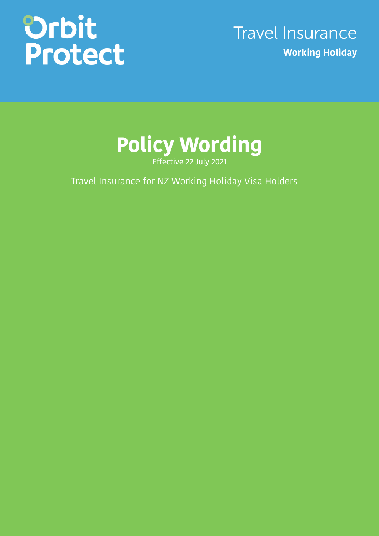# Orbit<br>Protect

## Travel Insurance **Working Holiday**



Effective 22 July 2021

Travel Insurance for NZ Working Holiday Visa Holders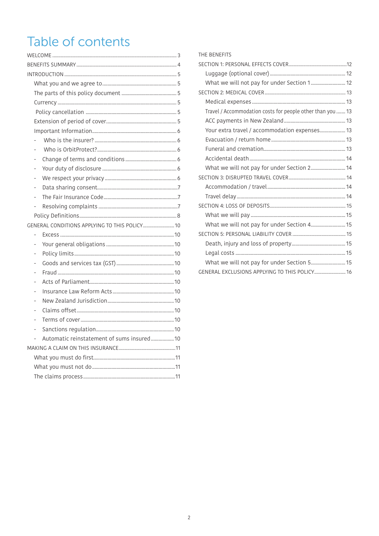## Table of contents

| ÷                                             |  |
|-----------------------------------------------|--|
|                                               |  |
| ÷,                                            |  |
|                                               |  |
|                                               |  |
|                                               |  |
|                                               |  |
| GENERAL CONDITIONS APPLYING TO THIS POLICY 10 |  |
|                                               |  |
| $\overline{a}$                                |  |
|                                               |  |
|                                               |  |
|                                               |  |
|                                               |  |
|                                               |  |
|                                               |  |
|                                               |  |
|                                               |  |
|                                               |  |
| Automatic reinstatement of sums insured 10    |  |
|                                               |  |
|                                               |  |
|                                               |  |
|                                               |  |

### THE BENEFITS

| What we will not pay for under Section 1 12                |  |
|------------------------------------------------------------|--|
|                                                            |  |
|                                                            |  |
| Travel / Accommodation costs for people other than you  13 |  |
|                                                            |  |
| Your extra travel / accommodation expenses 13              |  |
|                                                            |  |
|                                                            |  |
|                                                            |  |
| What we will not pay for under Section 2 14                |  |
|                                                            |  |
|                                                            |  |
|                                                            |  |
|                                                            |  |
|                                                            |  |
| What we will not pay for under Section 4 15                |  |
|                                                            |  |
|                                                            |  |
|                                                            |  |
| What we will not pay for under Section 5 15                |  |
| GENERAL EXCLUSIONS APPLYING TO THIS POLICY 16              |  |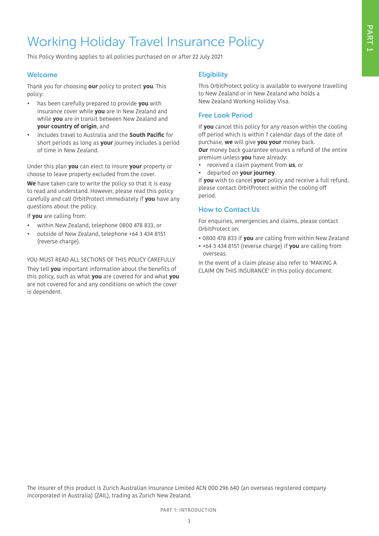## Working Holiday Travel Insurance Policy

This Policy Wording applies to all policies purchased on or after 22 July 2021

#### Welcome

Thank you for choosing **our** policy to protect **you**. This policy:

- has been carefully prepared to provide **you** with insurance cover while **you** are in New Zealand and while **you** are in transit between New Zealand and **your country of origin**, and
- includes travel to Australia and the **South Pacific** for short periods as long as **your** journey includes a period of time in New Zealand.

Under this plan **you** can elect to insure **your** property or choose to leave property excluded from the cover.

**We** have taken care to write the policy so that it is easy to read and understand. However, please read this policy carefully and call OrbitProtect immediately if **you** have any questions about the policy.

If **you** are calling from:

- within New Zealand, telephone 0800 478 833, or
- outside of New Zealand, telephone +64 3 434 8151 (reverse charge).

#### YOU MUST READ ALL SECTIONS OF THIS POLICY CAREFULLY

They tell **you** important information about the benefits of this policy, such as what **you** are covered for and what **you** are not covered for and any conditions on which the cover is dependent.

#### **Eligibility**

This OrbitProtect policy is available to everyone travelling to New Zealand or in New Zealand who holds a New Zealand Working Holiday Visa.

#### Free Look Period

If **you** cancel this policy for any reason within the cooling off period which is within 7 calendar days of the date of purchase, **we** will give **you your** money back. **Our** money back guarantee ensures a refund of the entire premium unless **you** have already:

- received a claim payment from **us**, or
- departed on **your journey**.

If **you** wish to cancel **your** policy and receive a full refund, please contact OrbitProtect within the cooling off period.

#### How to Contact Us

For enquiries, emergencies and claims, please contact OrbitProtect on:

- 0800 478 833 if **you** are calling from within New Zealand
- +64 3 434 8151 (reverse charge) if **you** are calling from overseas.

In the event of a claim please also refer to 'MAKING A CLAIM ON THIS INSURANCE' in this policy document.

The insurer of this product is Zurich Australian Insurance Limited ACN 000 296 640 (an overseas registered company incorporated in Australia) (ZAIL), trading as Zurich New Zealand.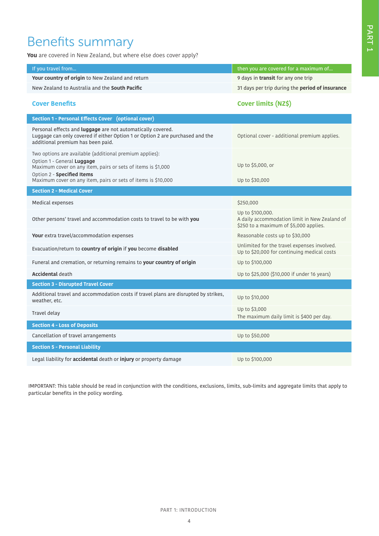### Benefits summary

**You** are covered in New Zealand, but where else does cover apply?

| If you travel from                                                                                                                                                                       | then you are covered for a maximum of                                                                       |
|------------------------------------------------------------------------------------------------------------------------------------------------------------------------------------------|-------------------------------------------------------------------------------------------------------------|
| Your country of origin to New Zealand and return                                                                                                                                         | 9 days in transit for any one trip                                                                          |
| New Zealand to Australia and the <b>South Pacific</b>                                                                                                                                    |                                                                                                             |
|                                                                                                                                                                                          | 31 days per trip during the period of insurance                                                             |
| <b>Cover Benefits</b>                                                                                                                                                                    | Cover limits (NZ\$)                                                                                         |
| Section 1 - Personal Effects Cover (optional cover)                                                                                                                                      |                                                                                                             |
| Personal effects and <b>luggage</b> are not automatically covered.<br>Luggage can only covered if either Option 1 or Option 2 are purchased and the<br>additional premium has been paid. | Optional cover - additional premium applies.                                                                |
| Two options are available (additional premium applies):                                                                                                                                  |                                                                                                             |
| Option 1 - General Luggage<br>Maximum cover on any item, pairs or sets of items is \$1,000<br>Option 2 - Specified Items                                                                 | Up to \$5,000, or                                                                                           |
| Maximum cover on any item, pairs or sets of items is \$10,000                                                                                                                            | Up to \$30,000                                                                                              |
| <b>Section 2 - Medical Cover</b>                                                                                                                                                         |                                                                                                             |
| Medical expenses                                                                                                                                                                         | \$250,000                                                                                                   |
| Other persons' travel and accommodation costs to travel to be with you                                                                                                                   | Up to \$100,000.<br>A daily accommodation limit in New Zealand of<br>\$250 to a maximum of \$5,000 applies. |
| Your extra travel/accommodation expenses                                                                                                                                                 | Reasonable costs up to \$30,000                                                                             |
| Evacuation/return to country of origin if you become disabled                                                                                                                            | Unlimited for the travel expenses involved.<br>Up to \$20,000 for continuing medical costs                  |
| Funeral and cremation, or returning remains to your country of origin                                                                                                                    | Up to \$100,000                                                                                             |
| <b>Accidental death</b>                                                                                                                                                                  | Up to \$25,000 (\$10,000 if under 16 years)                                                                 |
| <b>Section 3 - Disrupted Travel Cover</b>                                                                                                                                                |                                                                                                             |
| Additional travel and accommodation costs if travel plans are disrupted by strikes,<br>weather, etc.                                                                                     | Up to \$10,000                                                                                              |
| Travel delay                                                                                                                                                                             | Up to \$3,000<br>The maximum daily limit is \$400 per day.                                                  |
| <b>Section 4 - Loss of Deposits</b>                                                                                                                                                      |                                                                                                             |
| Cancellation of travel arrangements                                                                                                                                                      | Up to \$50,000                                                                                              |
| <b>Section 5 - Personal Liability</b>                                                                                                                                                    |                                                                                                             |
| Legal liability for <b>accidental</b> death or <b>injury</b> or property damage                                                                                                          | Up to \$100,000                                                                                             |

IMPORTANT: This table should be read in conjunction with the conditions, exclusions, limits, sub-limits and aggregate limits that apply to particular benefits in the policy wording.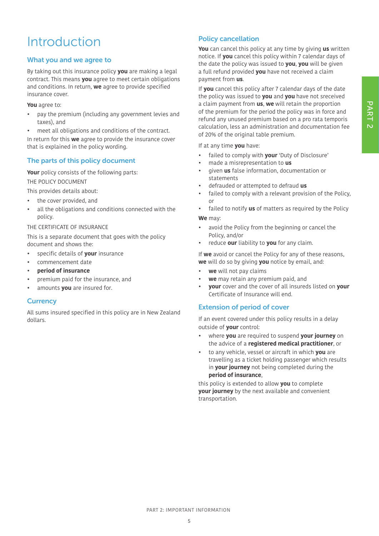## PART<sub>2</sub>

## Introduction

#### What you and we agree to

By taking out this insurance policy **you** are making a legal contract. This means **you** agree to meet certain obligations and conditions. In return, **we** agree to provide specified insurance cover.

**You** agree to:

- pay the premium (including any government levies and taxes), and
- meet all obligations and conditions of the contract.

In return for this **we** agree to provide the insurance cover that is explained in the policy wording.

#### The parts of this policy document

**Your** policy consists of the following parts: THE POLICY DOCUMENT

This provides details about:

- the cover provided, and
- all the obligations and conditions connected with the policy.

#### THE CERTIFICATE OF INSURANCE

This is a separate document that goes with the policy document and shows the:

- specific details of **your** insurance
- commencement date
- **period of insurance**
- premium paid for the insurance, and
- amounts **you** are insured for.

#### **Currency**

All sums insured specified in this policy are in New Zealand dollars.

#### Policy cancellation

**You** can cancel this policy at any time by giving **us** written notice. If **you** cancel this policy within 7 calendar days of the date the policy was issued to **you**, **you** will be given a full refund provided **you** have not received a claim payment from **us**.

If **you** cancel this policy after 7 calendar days of the date the policy was issued to **you** and **you** have not sreceived a claim payment from **us**, **we** will retain the proportion of the premium for the period the policy was in force and refund any unused premium based on a pro rata temporis calculation, less an administration and documentation fee of 20% of the original table premium.

If at any time **you** have:

- failed to comply with **your** 'Duty of Disclosure'
- made a misrepresentation to **us**
- given **us** false information, documentation or statements
- defrauded or attempted to defraud **us**
- failed to comply with a relevant provision of the Policy, or
- failed to notify **us** of matters as required by the Policy **We** may:
- avoid the Policy from the beginning or cancel the Policy, and/or
- reduce **our** liability to **you** for any claim.

If **we** avoid or cancel the Policy for any of these reasons, **we** will do so by giving **you** notice by email, and:

- **we** will not pay claims
- **we** may retain any premium paid, and
- **your** cover and the cover of all insureds listed on **your**  Certificate of Insurance will end.

#### Extension of period of cover

If an event covered under this policy results in a delay outside of **your** control:

- where **you** are required to suspend **your journey** on the advice of a **registered medical practitioner**, or
- to any vehicle, vessel or aircraft in which **you** are travelling as a ticket holding passenger which results in **your journey** not being completed during the **period of insurance**,

this policy is extended to allow **you** to complete **your journey** by the next available and convenient transportation.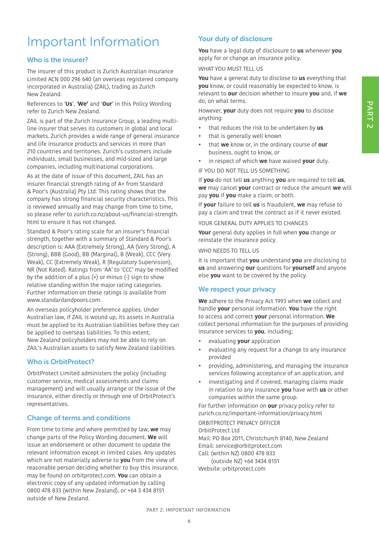## Important Information

#### Who is the insurer?

The insurer of this product is Zurich Australian Insurance Limited ACN 000 296 640 (an overseas registered company incorporated in Australia) (ZAIL), trading as Zurich New Zealand.

References to '**Us**', '**We'** and '**Our**' in this Policy Wording refer to Zurich New Zealand.

ZAIL is part of the Zurich Insurance Group, a leading multiline insurer that serves its customers in global and local markets. Zurich provides a wide range of general insurance and life insurance products and services in more than 210 countries and territories. Zurich's customers include individuals, small businesses, and mid-sized and large companies, including multinational corporations.

As at the date of issue of this document, ZAIL has an insurer financial strength rating of A+ from Standard & Poor's (Australia) Pty Ltd. This rating shows that the company has strong financial security characteristics. This is reviewed annually and may change from time to time, so please refer to zurich.co.nz/about-us/financial-strength. html to ensure it has not changed.

Standard & Poor's rating scale for an insurer's financial strength, together with a summary of Standard & Poor's description is: AAA (Extremely Strong), AA (Very Strong), A (Strong), BBB (Good), BB (Marginal), B (Weak), CCC (Very Weak), CC (Extremely Weak), R (Regulatory Supervision), NR (Not Rated). Ratings from 'AA' to 'CCC' may be modified by the addition of a plus  $(+)$  or minus  $(-)$  sign to show relative standing within the major rating categories. Further information on these ratings is available from www.standardandpoors.com.

An overseas policyholder preference applies. Under Australian law, if ZAIL is wound up, its assets in Australia must be applied to its Australian liabilities before they can be applied to overseas liabilities. To this extent, New Zealand policyholders may not be able to rely on ZAIL's Australian assets to satisfy New Zealand liabilities.

#### Who is OrbitProtect?

OrbitProtect Limited administers the policy (including customer service, medical assessments and claims management) and will usually arrange or the issue of the insurance, either directly or through one of OrbitProtect's representatives.

#### Change of terms and conditions

From time to time and where permitted by law, **we** may change parts of the Policy Wording document. **We** will issue an endorsement or other document to update the relevant information except in limited cases. Any updates which are not materially adverse to **you** from the view of reasonable person deciding whether to buy this insurance, may be found on orbitprotect.com. **You** can obtain a electronic copy of any updated information by calling 0800 478 833 (within New Zealand), or +64 3 434 8151 outside of New Zealand.

#### Your duty of disclosure

**You** have a legal duty of disclosure to **us** whenever **you** apply for or change an insurance policy.

#### WHAT YOU MUST TELL US

**You** have a general duty to disclose to **us** everything that **you** know, or could reasonably be expected to know, is relevant to **our** decision whether to insure **you** and, if **we** do, on what terms.

However, **your** duty does not require **you** to disclose anything:

- that reduces the risk to be undertaken by **us**
- that is generally well known
- that **we** know or, in the ordinary course of **our** business, ought to know, or
- in respect of which **we** have waived **your** duty.

IF YOU DO NOT TELL US SOMETHING

If **you** do not tell **us** anything **you** are required to tell **us**, **we** may cancel **your** contract or reduce the amount **we** will pay **you** if **you** make a claim, or both.

If **your** failure to tell **us** is fraudulent, **we** may refuse to pay a claim and treat the contract as if it never existed.

YOUR GENERAL DUTY APPLIES TO CHANGES

**Your** general duty applies in full when **you** change or reinstate the insurance policy.

WHO NEEDS TO TELL US

It is important that **you** understand **you** are disclosing to **us** and answering **our** questions for **yourself** and anyone else **you** want to be covered by the policy.

#### We respect your privacy

**We** adhere to the Privacy Act 1993 when **we** collect and handle **your** personal information. **You** have the right to access and correct **your** personal information. **We** collect personal information for the purposes of providing insurance services to **you**, including;

- evaluating **your** application
- evaluating any request for a change to any insurance provided
- providing, administering, and managing the insurance services following acceptance of an application, and
- investigating and if covered, managing claims made in relation to any insurance **you** have with **us** or other companies within the same group.

For further information on **our** privacy policy refer to zurich.co.nz/important-information/privacy.html ORBITPROTECT PRIVACY OFFICER

OrbitProtect Ltd Mail: PO Box 2011, Christchurch 8140, New Zealand Email: service@orbitprotect.com Call: (within NZ) 0800 478 833 (outside NZ) +64 3434 8151 Website: orbitprotect.com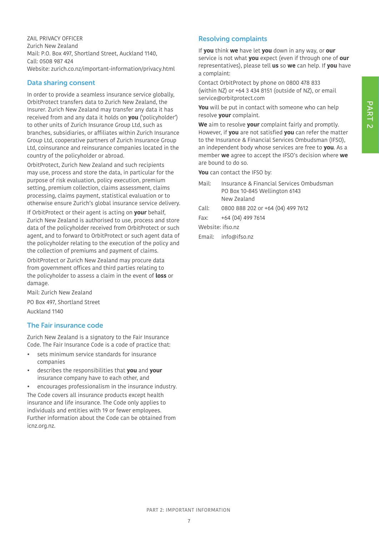ZAIL PRIVACY OFFICER Zurich New Zealand Mail: P.O. Box 497, Shortland Street, Auckland 1140, Call: 0508 987 424 Website: zurich.co.nz/important-information/privacy.html

#### Data sharing consent

In order to provide a seamless insurance service globally, OrbitProtect transfers data to Zurich New Zealand, the Insurer. Zurich New Zealand may transfer any data it has received from and any data it holds on **you** ('policyholder') to other units of Zurich Insurance Group Ltd, such as branches, subsidiaries, or affiliates within Zurich Insurance Group Ltd, cooperative partners of Zurich Insurance Group Ltd, coinsurance and reinsurance companies located in the country of the policyholder or abroad.

OrbitProtect, Zurich New Zealand and such recipients may use, process and store the data, in particular for the purpose of risk evaluation, policy execution, premium setting, premium collection, claims assessment, claims processing, claims payment, statistical evaluation or to otherwise ensure Zurich's global insurance service delivery.

If OrbitProtect or their agent is acting on **your** behalf, Zurich New Zealand is authorised to use, process and store data of the policyholder received from OrbitProtect or such agent, and to forward to OrbitProtect or such agent data of the policyholder relating to the execution of the policy and the collection of premiums and payment of claims.

OrbitProtect or Zurich New Zealand may procure data from government offices and third parties relating to the policyholder to assess a claim in the event of **loss** or damage.

Mail: Zurich New Zealand PO Box 497, Shortland Street

Auckland 1140

#### The Fair insurance code

Zurich New Zealand is a signatory to the Fair Insurance Code. The Fair Insurance Code is a code of practice that:

- sets minimum service standards for insurance companies
- describes the responsibilities that **you** and **your** insurance company have to each other, and
- encourages professionalism in the insurance industry. The Code covers all insurance products except health insurance and life insurance. The Code only applies to individuals and entities with 19 or fewer employees. Further information about the Code can be obtained from icnz.org.nz.

#### Resolving complaints

If **you** think **we** have let **you** down in any way, or **our** service is not what **you** expect (even if through one of **our** representatives), please tell **us** so **we** can help. If **you** have a complaint:

Contact OrbitProtect by phone on 0800 478 833 (within NZ) or +64 3 434 8151 (outside of NZ), or email service@orbitprotect.com

**You** will be put in contact with someone who can help resolve **your** complaint.

**We** aim to resolve **your** complaint fairly and promptly. However, if **you** are not satisfied **you** can refer the matter to the Insurance & Financial Services Ombudsman (IFSO), an independent body whose services are free to **you**. As a member **we** agree to accept the IFSO's decision where **we** are bound to do so.

**You** can contact the IFSO by:

- Mail: Insurance & Financial Services Ombudsman PO Box 10-845 Wellington 6143 New Zealand
- Call: 0800 888 202 or +64 (04) 499 7612
- Fax: +64 (04) 499 7614

Website: ifso.nz

Email: info@ifso.nz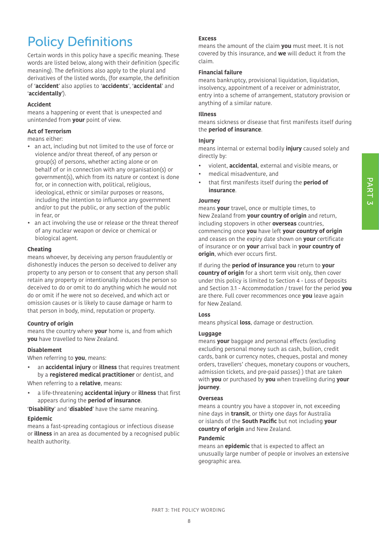## Policy Definitions

Certain words in this policy have a specific meaning. These words are listed below, along with their definition (specific meaning). The definitions also apply to the plural and derivatives of the listed words, (for example, the definition of '**accident**' also applies to '**accidents**', '**accidental**' and '**accidentally**').

#### **Accident**

means a happening or event that is unexpected and unintended from **your** point of view.

#### **Act of Terrorism**

means either:

- an act, including but not limited to the use of force or violence and/or threat thereof, of any person or group(s) of persons, whether acting alone or on behalf of or in connection with any organisation(s) or government(s), which from its nature or context is done for, or in connection with, political, religious, ideological, ethnic or similar purposes or reasons, including the intention to influence any government and/or to put the public, or any section of the public in fear, or
- an act involving the use or release or the threat thereof of any nuclear weapon or device or chemical or biological agent.

#### **Cheating**

means whoever, by deceiving any person fraudulently or dishonestly induces the person so deceived to deliver any property to any person or to consent that any person shall retain any property or intentionally induces the person so deceived to do or omit to do anything which he would not do or omit if he were not so deceived, and which act or omission causes or is likely to cause damage or harm to that person in body, mind, reputation or property.

#### **Country of origin**

means the country where **your** home is, and from which **you** have travelled to New Zealand.

#### **Disablement**

When referring to **you**, means:

• an **accidental injury** or **illness** that requires treatment by a **registered medical practitioner** or dentist, and

When referring to a **relative**, means:

• a life-threatening **accidental injury** or **illness** that first appears during the **period of insurance**.

'**Disability**' and '**disabled**' have the same meaning.

#### **Epidemic**

means a fast-spreading contagious or infectious disease or **illness** in an area as documented by a recognised public health authority.

#### **Excess**

means the amount of the claim **you** must meet. It is not covered by this insurance, and **we** will deduct it from the claim.

#### **Financial failure**

means bankruptcy, provisional liquidation, liquidation, insolvency, appointment of a receiver or administrator, entry into a scheme of arrangement, statutory provision or anything of a similar nature.

#### **Illness**

means sickness or disease that first manifests itself during the **period of insurance**.

#### **Injury**

means internal or external bodily **injury** caused solely and directly by:

- violent, **accidental**, external and visible means, or
- medical misadventure, and
- that first manifests itself during the **period of insurance**.

#### **Journey**

means **your** travel, once or multiple times, to New Zealand from **your country of origin** and return, including stopovers in other **overseas** countries, commencing once **you** have left **your country of origin** and ceases on the expiry date shown on **your** certificate of insurance or on **your** arrival back in **your country of origin**, which ever occurs first.

If during the **period of insurance you** return to **your country of origin** for a short term visit only, then cover under this policy is limited to Section 4 - Loss of Deposits and Section 3.1 - Accommodation / travel for the period **you** are there. Full cover recommences once **you** leave again for New Zealand.

#### **Loss**

means physical **loss**, damage or destruction.

#### **Luggage**

means **your** baggage and personal effects (excluding excluding personal money such as cash, bullion, credit cards, bank or currency notes, cheques, postal and money orders, travellers' cheques, monetary coupons or vouchers, admission tickets, and pre-paid passes) ) that are taken with **you** or purchased by **you** when travelling during **your journey**.

#### **Overseas**

means a country you have a stopover in, not exceeding nine days in **transit**, or thirty one days for Australia or islands of the **South Pacific** but not including **your country of origin** and New Zealand.

#### **Pandemic**

means an **epidemic** that is expected to affect an unusually large number of people or involves an extensive geographic area.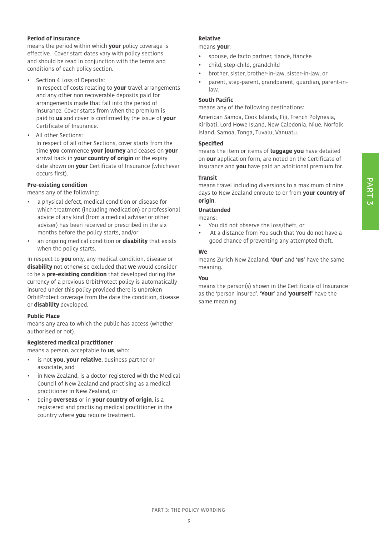## PART 3

#### **Period of insurance**

means the period within which **your** policy coverage is effective. Cover start dates vary with policy sections and should be read in conjunction with the terms and conditions of each policy section.

- Section 4 Loss of Deposits: In respect of costs relating to **your** travel arrangements and any other non recoverable deposits paid for arrangements made that fall into the period of insurance. Cover starts from when the premium is paid to **us** and cover is confirmed by the issue of **your**  Certificate of Insurance.
- All other Sections: In respect of all other Sections, cover starts from the time **you** commence **your journey** and ceases on **your**  arrival back in **your country of origin** or the expiry date shown on **your** Certificate of Insurance (whichever occurs first).

#### **Pre-existing condition**

means any of the following:

- a physical defect, medical condition or disease for which treatment (including medication) or professional advice of any kind (from a medical adviser or other adviser) has been received or prescribed in the six months before the policy starts, and/or
- an ongoing medical condition or **disability** that exists when the policy starts.

In respect to **you** only, any medical condition, disease or **disability** not otherwise excluded that **we** would consider to be a **pre-existing condition** that developed during the currency of a previous OrbitProtect policy is automatically insured under this policy provided there is unbroken OrbitProtect coverage from the date the condition, disease or **disability** developed.

#### **Public Place**

means any area to which the public has access (whether authorised or not).

#### **Registered medical practitioner**

means a person, acceptable to **us**, who:

- is not **you**, **your relative**, business partner or associate, and
- in New Zealand, is a doctor registered with the Medical Council of New Zealand and practising as a medical practitioner in New Zealand, or
- being **overseas** or in **your country of origin**, is a registered and practising medical practitioner in the country where **you** require treatment.

#### **Relative**

#### means **your**:

- spouse, de facto partner, fiancé, fiancée
- child, step-child, grandchild
- brother, sister, brother-in-law, sister-in-law, or
- parent, step-parent, grandparent, guardian, parent-inlaw.

#### **South Pacific**

means any of the following destinations:

American Samoa, Cook Islands, Fiji, French Polynesia, Kiribati, Lord Howe Island, New Caledonia, Niue, Norfolk Island, Samoa, Tonga, Tuvalu, Vanuatu.

#### **Specified**

means the item or items of **luggage you** have detailed on **our** application form, are noted on the Certificate of Insurance and **you** have paid an additional premium for.

#### **Transit**

means travel including diversions to a maximum of nine days to New Zealand enroute to or from **your country of origin**.

#### **Unattended**

means:

- You did not observe the loss/theft, or
- At a distance from You such that You do not have a good chance of preventing any attempted theft.

#### **We**

means Zurich New Zealand. '**Our**' and '**us**' have the same meaning.

#### **You**

means the person(s) shown in the Certificate of Insurance as the 'person insured'. '**Your**' and '**yourself**' have the same meaning.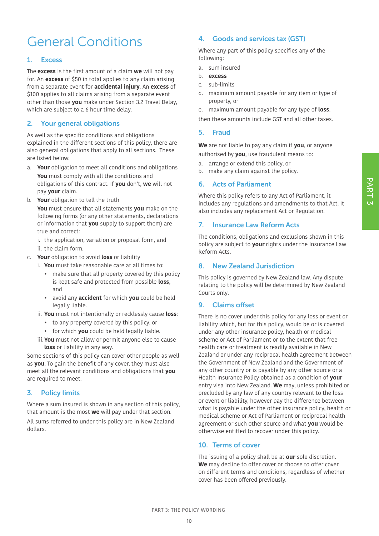## General Conditions

#### 1. Excess

The **excess** is the first amount of a claim **we** will not pay for. An **excess** of \$50 in total applies to any claim arising from a separate event for **accidental injury**. An **excess** of \$100 applies to all claims arising from a separate event other than those **you** make under Section 3.2 Travel Delay, which are subject to a 6 hour time delay.

#### 2. Your general obligations

As well as the specific conditions and obligations explained in the different sections of this policy, there are also general obligations that apply to all sections. These are listed below:

- a. **Your** obligation to meet all conditions and obligations **You** must comply with all the conditions and obligations of this contract. If **you** don't, **we** will not pay **your** claim.
- b. **Your** obligation to tell the truth

**You** must ensure that all statements **you** make on the following forms (or any other statements, declarations or information that **you** supply to support them) are true and correct:

i. the application, variation or proposal form, and ii. the claim form.

- c. **Your** obligation to avoid **loss** or liability
	- i. **You** must take reasonable care at all times to:
		- make sure that all property covered by this policy is kept safe and protected from possible **loss**, and
		- avoid any **accident** for which **you** could be held legally liable.
	- ii. **You** must not intentionally or recklessly cause **loss**:
		- to any property covered by this policy, or
		- for which **you** could be held legally liable.
	- iii.**You** must not allow or permit anyone else to cause **loss** or liability in any way.

Some sections of this policy can cover other people as well as **you**. To gain the benefit of any cover, they must also meet all the relevant conditions and obligations that **you** are required to meet.

#### 3. Policy limits

Where a sum insured is shown in any section of this policy, that amount is the most **we** will pay under that section. All sums referred to under this policy are in New Zealand dollars.

#### 4. Goods and services tax (GST)

Where any part of this policy specifies any of the following:

- a. sum insured
- b. **excess**
- c. sub-limits
- d. maximum amount payable for any item or type of property, or
- e. maximum amount payable for any type of **loss**,

then these amounts include GST and all other taxes.

#### 5. Fraud

**We** are not liable to pay any claim if **you**, or anyone authorised by **you**, use fraudulent means to:

- a. arrange or extend this policy, or
- b. make any claim against the policy.

#### 6. Acts of Parliament

Where this policy refers to any Act of Parliament, it includes any regulations and amendments to that Act. It also includes any replacement Act or Regulation.

#### 7. Insurance Law Reform Acts

The conditions, obligations and exclusions shown in this policy are subject to **your** rights under the Insurance Law Reform Acts.

#### 8. New Zealand Jurisdiction

This policy is governed by New Zealand law. Any dispute relating to the policy will be determined by New Zealand Courts only.

#### 9. Claims offset

There is no cover under this policy for any loss or event or liability which, but for this policy, would be or is covered under any other insurance policy, health or medical scheme or Act of Parliament or to the extent that free health care or treatment is readily available in New Zealand or under any reciprocal health agreement between the Government of New Zealand and the Government of any other country or is payable by any other source or a Health Insurance Policy obtained as a condition of **your** entry visa into New Zealand. **We** may, unless prohibited or precluded by any law of any country relevant to the loss or event or liability, however pay the difference between what is payable under the other insurance policy, health or medical scheme or Act of Parliament or reciprocal health agreement or such other source and what **you** would be otherwise entitled to recover under this policy.

#### 10. Terms of cover

The issuing of a policy shall be at **our** sole discretion. **We** may decline to offer cover or choose to offer cover on different terms and conditions, regardless of whether cover has been offered previously.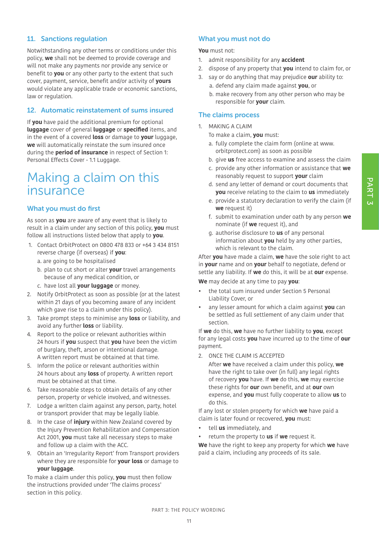## PART<sub>3</sub>

#### 11. Sanctions regulation

Notwithstanding any other terms or conditions under this policy, **we** shall not be deemed to provide coverage and will not make any payments nor provide any service or benefit to **you** or any other party to the extent that such cover, payment, service, benefit and/or activity of **yours** would violate any applicable trade or economic sanctions, law or regulation.

#### 12. Automatic reinstatement of sums insured

If **you** have paid the additional premium for optional **luggage** cover of general **luggage** or **specified** items, and in the event of a covered **loss** or damage to **your** luggage, **we** will automatically reinstate the sum insured once during the **period of insurance** in respect of Section 1: Personal Effects Cover - 1.1 Luggage.

### Making a claim on this insurance

#### What you must do first

As soon as **you** are aware of any event that is likely to result in a claim under any section of this policy, **you** must follow all instructions listed below that apply to **you**.

- 1. Contact OrbitProtect on 0800 478 833 or +64 3 434 8151 reverse charge (if overseas) if **you**:
	- a. are going to be hospitalised
	- b. plan to cut short or alter **your** travel arrangements because of any medical condition, or
	- c. have lost all **your luggage** or money.
- 2. Notify OrbitProtect as soon as possible (or at the latest within 21 days of you becoming aware of any incident which gave rise to a claim under this policy).
- 3. Take prompt steps to minimise any **loss** or liability, and avoid any further **loss** or liability.
- 4. Report to the police or relevant authorities within 24 hours if **you** suspect that **you** have been the victim of burglary, theft, arson or intentional damage. A written report must be obtained at that time.
- 5. Inform the police or relevant authorities within 24 hours about any **loss** of property. A written report must be obtained at that time.
- 6. Take reasonable steps to obtain details of any other person, property or vehicle involved, and witnesses.
- 7. Lodge a written claim against any person, party, hotel or transport provider that may be legally liable.
- 8. In the case of **injury** within New Zealand covered by the Injury Prevention Rehabilitation and Compensation Act 2001, **you** must take all necessary steps to make and follow up a claim with the ACC.
- 9. Obtain an 'Irregularity Report' from Transport providers where they are responsible for **your loss** or damage to **your luggage**.

To make a claim under this policy, **you** must then follow the instructions provided under 'The claims process' section in this policy.

#### What you must not do

**You** must not:

- 1. admit responsibility for any **accident**
- 2. dispose of any property that **you** intend to claim for, or
- 3. say or do anything that may prejudice **our** ability to: a. defend any claim made against **you**, or
	- b. make recovery from any other person who may be responsible for **your** claim.

#### The claims process

- 1. MAKING A CLAIM
	- To make a claim, **you** must:
	- a. fully complete the claim form (online at www. orbitprotect.com) as soon as possible
	- b. give **us** free access to examine and assess the claim
	- c. provide any other information or assistance that **we** reasonably request to support **your** claim
	- d. send any letter of demand or court documents that **you** receive relating to the claim to **us** immediately
	- e. provide a statutory declaration to verify the claim (if **we** request it)
	- f. submit to examination under oath by any person **we** nominate (if **we** request it), and
	- g. authorise disclosure to **us** of any personal information about **you** held by any other parties, which is relevant to the claim.

After **you** have made a claim, **we** have the sole right to act in **your** name and on **your** behalf to negotiate, defend or settle any liability. If **we** do this, it will be at **our** expense.

**We** may decide at any time to pay **you**:

- the total sum insured under Section 5 Personal Liability Cover, or
- any lesser amount for which a claim against **you** can be settled as full settlement of any claim under that section.

If **we** do this, **we** have no further liability to **you**, except for any legal costs **you** have incurred up to the time of **our** payment.

2. ONCE THE CLAIM IS ACCEPTED

After **we** have received a claim under this policy, **we** have the right to take over (in full) any legal rights of recovery **you** have. If **we** do this, **we** may exercise these rights for **our** own benefit, and at **our** own expense, and **you** must fully cooperate to allow **us** to do this.

If any lost or stolen property for which **we** have paid a claim is later found or recovered, **you** must:

- tell **us** immediately, and
- return the property to **us** if **we** request it.

**We** have the right to keep any property for which **we** have paid a claim, including any proceeds of its sale.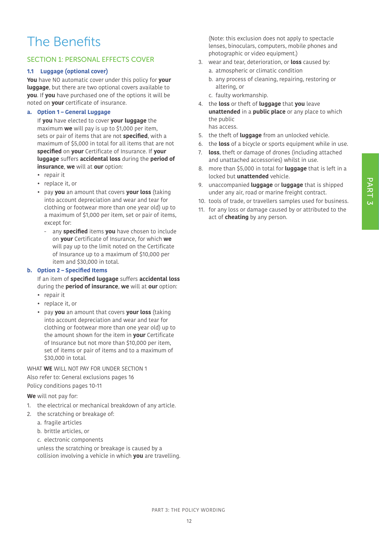### The Benefits

#### SECTION 1: PERSONAL EFFECTS COVER

#### **1.1 Luggage (optional cover)**

**You** have NO automatic cover under this policy for **your luggage**, but there are two optional covers available to **you**. If **you** have purchased one of the options it will be noted on **your** certificate of insurance.

#### **a. Option 1 – General Luggage**

If **you** have elected to cover **your luggage** the maximum **we** will pay is up to \$1,000 per item, sets or pair of items that are not **specified**, with a maximum of \$5,000 in total for all items that are not **specified** on **your** Certificate of Insurance. If **your luggage** suffers **accidental loss** during the **period of insurance**, **we** will at **our** option:

- repair it
- replace it, or
- pay **you** an amount that covers **your loss** (taking into account depreciation and wear and tear for clothing or footwear more than one year old) up to a maximum of \$1,000 per item, set or pair of items, except for:
	- any **specified** items **you** have chosen to include on **your** Certificate of Insurance, for which **we** will pay up to the limit noted on the Certificate of Insurance up to a maximum of \$10,000 per item and \$30,000 in total.

#### **b. Option 2 – Specified Items**

If an item of **specified luggage** suffers **accidental loss** during the **period of insurance**, **we** will at **our** option:

- repair it
- replace it, or
- pay **you** an amount that covers **your loss** (taking into account depreciation and wear and tear for clothing or footwear more than one year old) up to the amount shown for the item in **your** Certificate of Insurance but not more than \$10,000 per item, set of items or pair of items and to a maximum of \$30,000 in total.

WHAT **WE** WILL NOT PAY FOR UNDER SECTION 1 Also refer to: General exclusions pages 16 Policy conditions pages 10-11

**We** will not pay for:

- 1. the electrical or mechanical breakdown of any article.
- 2. the scratching or breakage of:
	- a. fragile articles
	- b. brittle articles, or
	- c. electronic components

unless the scratching or breakage is caused by a collision involving a vehicle in which **you** are travelling. (Note: this exclusion does not apply to spectacle lenses, binoculars, computers, mobile phones and photographic or video equipment.)

- 3. wear and tear, deterioration, or **loss** caused by: a. atmospheric or climatic condition
	- b. any process of cleaning, repairing, restoring or altering, or
	- c. faulty workmanship.
- 4. the **loss** or theft of **luggage** that **you** leave **unattended** in a **public place** or any place to which the public has access.
- 5. the theft of **luggage** from an unlocked vehicle.
- 6. the **loss** of a bicycle or sports equipment while in use.
- 7. **loss**, theft or damage of drones (including attached and unattached accessories) whilst in use.
- 8. more than \$5,000 in total for **luggage** that is left in a locked but **unattended** vehicle.
- 9. unaccompanied **luggage** or **luggage** that is shipped under any air, road or marine freight contract.
- 10. tools of trade, or travellers samples used for business.
- 11. for any loss or damage caused by or attributed to the act of **cheating** by any person.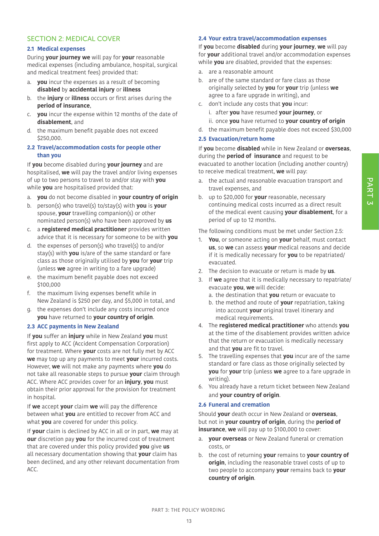#### SECTION 2: MEDICAL COVER

#### **2.1 Medical expenses**

During **your journey we** will pay for **your** reasonable medical expenses (including ambulance, hospital, surgical and medical treatment fees) provided that:

- a. **you** incur the expenses as a result of becoming **disabled** by **accidental injury** or **illness**
- b. the **injury** or **illness** occurs or first arises during the **period of insurance**,
- c. **you** incur the expense within 12 months of the date of **disablement**, and
- d. the maximum benefit payable does not exceed \$250,000.

#### **2.2 Travel/accommodation costs for people other than you**

If **you** become disabled during **your journey** and are hospitalised, **we** will pay the travel and/or living expenses of up to two persons to travel to and/or stay with **you** while **you** are hospitalised provided that:

- a. **you** do not become disabled in **your country of origin**
- b. person(s) who travel(s) to/stay(s) with **you** is **your** spouse, **your** travelling companion(s) or other nominated person(s) who have been approved by **us**
- c. a **registered medical practitioner** provides written advice that it is necessary for someone to be with **you**
- d. the expenses of person(s) who travel(s) to and/or stay(s) with **you** is/are of the same standard or fare class as those originally utilised by **you** for **your** trip (unless **we** agree in writing to a fare upgrade)
- e. the maximum benefit payable does not exceed \$100,000
- f. the maximum living expenses benefit while in New Zealand is \$250 per day, and \$5,000 in total, and
- g. the expenses don't include any costs incurred once **you** have returned to **your country of origin**.

#### **2.3 ACC payments in New Zealand**

If **you** suffer an **injury** while in New Zealand **you** must first apply to ACC (Accident Compensation Corporation) for treatment. Where **your** costs are not fully met by ACC **we** may top up any payments to meet **your** incurred costs. However, **we** will not make any payments where **you** do not take all reasonable steps to pursue **your** claim through ACC. Where ACC provides cover for an **injury**, **you** must obtain their prior approval for the provision for treatment in hospital.

If **we** accept **your** claim **we** will pay the difference between what **you** are entitled to recover from ACC and what **you** are covered for under this policy.

If **your** claim is declined by ACC in all or in part, **we** may at **our** discretion pay **you** for the incurred cost of treatment that are covered under this policy provided **you** give **us** all necessary documentation showing that **your** claim has been declined, and any other relevant documentation from ACC.

#### **2.4 Your extra travel/accommodation expenses**

If **you** become **disabled** during **your journey**, **we** will pay for **your** additional travel and/or accommodation expenses while **you** are disabled, provided that the expenses:

- a. are a reasonable amount
- b. are of the same standard or fare class as those originally selected by **you** for **your** trip (unless **we** agree to a fare upgrade in writing), and
- c. don't include any costs that **you** incur:
	- i. after **you** have resumed **your journey**, or
	- ii. once **you** have returned to **your country of origin**
- d. the maximum benefit payable does not exceed \$30,000

#### **2.5 Evacuation/return home**

If **you** become **disabled** while in New Zealand or **overseas**, during the **period of insurance** and request to be evacuated to another location (including another country) to receive medical treatment, **we** will pay:

- a. the actual and reasonable evacuation transport and travel expenses, and
- b. up to \$20,000 for **your** reasonable, necessary continuing medical costs incurred as a direct result of the medical event causing **your disablement**, for a period of up to 12 months.

The following conditions must be met under Section 2.5:

- 1. **You**, or someone acting on **your** behalf, must contact **us**, so **we** can assess **your** medical reasons and decide if it is medically necessary for **you** to be repatriated/ evacuated.
- 2. The decision to evacuate or return is made by **us**.
- 3. If **we** agree that it is medically necessary to repatriate/ evacuate **you**, **we** will decide:
	- a. the destination that **you** return or evacuate to
	- b. the method and route of **your** repatriation, taking into account **your** original travel itinerary and medical requirements.
- 4. The **registered medical practitioner** who attends **you** at the time of the disablement provides written advice that the return or evacuation is medically necessary and that **you** are fit to travel.
- 5. The travelling expenses that **you** incur are of the same standard or fare class as those originally selected by **you** for **your** trip (unless **we** agree to a fare upgrade in writing).
- 6. You already have a return ticket between New Zealand and **your country of origin**.

#### **2.6 Funeral and cremation**

Should **your** death occur in New Zealand or **overseas**, but not in **your country of origin**, during the **period of insurance**, **we** will pay up to \$100,000 to cover:

- a. **your overseas** or New Zealand funeral or cremation costs, or
- b. the cost of returning **your** remains to **your country of origin**, including the reasonable travel costs of up to two people to accompany **your** remains back to **your country of origin**.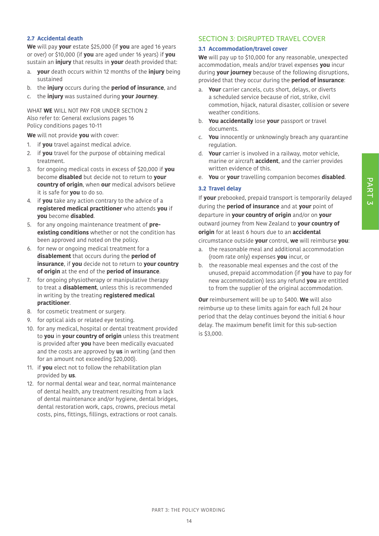## PART 3

#### **2.7 Accidental death**

**We** will pay **your** estate \$25,000 (if **you** are aged 16 years or over) or \$10,000 (if **you** are aged under 16 years) if **you** sustain an **injury** that results in **your** death provided that:

- a. **your** death occurs within 12 months of the **injury** being sustained
- b. the **injury** occurs during the **period of insurance**, and
- c. the **injury** was sustained during **your Journey**.

WHAT **WE** WILL NOT PAY FOR UNDER SECTION 2 Also refer to: General exclusions pages 16 Policy conditions pages 10-11

**We** will not provide **you** with cover:

- 1. if **you** travel against medical advice.
- 2. if **you** travel for the purpose of obtaining medical treatment.
- 3. for ongoing medical costs in excess of \$20,000 if **you** become **disabled** but decide not to return to **your country of origin**, when **our** medical advisors believe it is safe for **you** to do so.
- 4. if **you** take any action contrary to the advice of a **registered medical practitioner** who attends **you** if **you** become **disabled**.
- 5. for any ongoing maintenance treatment of **preexisting conditions** whether or not the condition has been approved and noted on the policy.
- 6. for new or ongoing medical treatment for a **disablement** that occurs during the **period of insurance**, if **you** decide not to return to **your country of origin** at the end of the **period of insurance**.
- 7. for ongoing physiotherapy or manipulative therapy to treat a **disablement**, unless this is recommended in writing by the treating **registered medical practitioner**.
- 8. for cosmetic treatment or surgery.
- 9. for optical aids or related eye testing.
- 10. for any medical, hospital or dental treatment provided to **you** in **your country of origin** unless this treatment is provided after **you** have been medically evacuated and the costs are approved by **us** in writing (and then for an amount not exceeding \$20,000).
- 11. if **you** elect not to follow the rehabilitation plan provided by **us**.
- 12. for normal dental wear and tear, normal maintenance of dental health, any treatment resulting from a lack of dental maintenance and/or hygiene, dental bridges, dental restoration work, caps, crowns, precious metal costs, pins, fittings, fillings, extractions or root canals.

#### SECTION 3: DISRUPTED TRAVEL COVER

#### **3.1 Accommodation/travel cover**

**We** will pay up to \$10,000 for any reasonable, unexpected accommodation, meals and/or travel expenses **you** incur during **your journey** because of the following disruptions, provided that they occur during the **period of insurance**:

- a. **Your** carrier cancels, cuts short, delays, or diverts a scheduled service because of riot, strike, civil commotion, hijack, natural disaster, collision or severe weather conditions.
- b. **You accidentally** lose **your** passport or travel documents.
- c. **You** innocently or unknowingly breach any quarantine regulation.
- d. **Your** carrier is involved in a railway, motor vehicle, marine or aircraft **accident**, and the carrier provides written evidence of this.
- e. **You** or **your** travelling companion becomes **disabled**.

#### **3.2 Travel delay**

If **your** prebooked, prepaid transport is temporarily delayed during the **period of insurance** and at **your** point of departure in **your country of origin** and/or on **your** outward journey from New Zealand to **your country of origin** for at least 6 hours due to an **accidental** circumstance outside **your** control, **we** will reimburse **you**:

- a. the reasonable meal and additional accommodation (room rate only) expenses **you** incur, or
- b. the reasonable meal expenses and the cost of the unused, prepaid accommodation (if **you** have to pay for new accommodation) less any refund **you** are entitled to from the supplier of the original accommodation.

**Our** reimbursement will be up to \$400. **We** will also reimburse up to these limits again for each full 24 hour period that the delay continues beyond the initial 6 hour delay. The maximum benefit limit for this sub-section is \$3,000.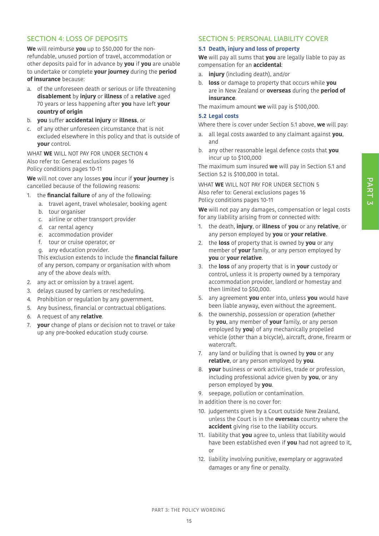## PART 3

#### SECTION 4: LOSS OF DEPOSITS

**We** will reimburse **you** up to \$50,000 for the nonrefundable, unused portion of travel, accommodation or other deposits paid for in advance by **you** if **you** are unable to undertake or complete **your journey** during the **period of insurance** because:

- a. of the unforeseen death or serious or life threatening **disablement** by **injury** or **illness** of a **relative** aged 70 years or less happening after **you** have left **your country of origin**
- b. **you** suffer **accidental injury** or **illness**, or
- c. of any other unforeseen circumstance that is not excluded elsewhere in this policy and that is outside of **your** control.

WHAT **WE** WILL NOT PAY FOR UNDER SECTION 4 Also refer to: General exclusions pages 16 Policy conditions pages 10-11

**We** will not cover any losses **you** incur if **your journey** is cancelled because of the following reasons:

- 1. the **financial failure** of any of the following:
	- a. travel agent, travel wholesaler, booking agent
	- b. tour organiser
	- c. airline or other transport provider
	- d. car rental agency
	- e. accommodation provider
	- f. tour or cruise operator, or
	- g. any education provider.

This exclusion extends to include the **financial failure** of any person, company or organisation with whom any of the above deals with.

- 2. any act or omission by a travel agent.
- 3. delays caused by carriers or rescheduling.
- 4. Prohibition or regulation by any government.
- 5. Any business, financial or contractual obligations.
- 6. A request of any **relative**.
- 7. **your** change of plans or decision not to travel or take up any pre-booked education study course.

#### SECTION 5: PERSONAL LIABILITY COVER

#### **5.1 Death, injury and loss of property**

**We** will pay all sums that **you** are legally liable to pay as compensation for an **accidental**:

- a. **injury** (including death), and/or
- b. **loss** or damage to property that occurs while **you** are in New Zealand or **overseas** during the **period of insurance**.

The maximum amount **we** will pay is \$100,000.

#### **5.2 Legal costs**

Where there is cover under Section 5.1 above, **we** will pay:

- a. all legal costs awarded to any claimant against **you**, and
- b. any other reasonable legal defence costs that **you** incur up to \$100,000

The maximum sum insured **we** will pay in Section 5.1 and Section 5.2 is \$100,000 in total.

WHAT **WE** WILL NOT PAY FOR UNDER SECTION 5 Also refer to: General exclusions pages 16 Policy conditions pages 10-11

**We** will not pay any damages, compensation or legal costs for any liability arising from or connected with:

- 1. the death, **injury**, or **illness** of **you** or any **relative**, or any person employed by **you** or **your relative**.
- 2. the **loss** of property that is owned by **you** or any member of **your** family, or any person employed by **you** or **your relative**.
- 3. the **loss** of any property that is in **your** custody or control, unless it is property owned by a temporary accommodation provider, landlord or homestay and then limited to \$50,000.
- 5. any agreement **you** enter into, unless **you** would have been liable anyway, even without the agreement.
- 6. the ownership, possession or operation (whether by **you**, any member of **your** family, or any person employed by **you**) of any mechanically propelled vehicle (other than a bicycle), aircraft, drone, firearm or watercraft.
- 7. any land or building that is owned by **you** or any **relative**, or any person employed by **you**.
- 8. **your** business or work activities, trade or profession, including professional advice given by **you**, or any person employed by **you**.
- 9. seepage, pollution or contamination.
- In addition there is no cover for:
- 10. judgements given by a Court outside New Zealand, unless the Court is in the **overseas** country where the **accident** giving rise to the liability occurs.
- 11. liability that **you** agree to, unless that liability would have been established even if **you** had not agreed to it, or
- 12. liability involving punitive, exemplary or aggravated damages or any fine or penalty.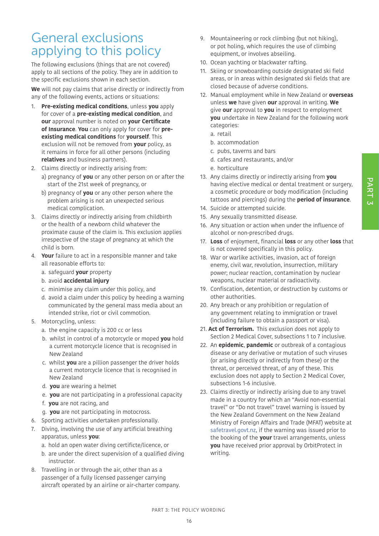### General exclusions applying to this policy

The following exclusions (things that are not covered) apply to all sections of the policy. They are in addition to the specific exclusions shown in each section.

**We** will not pay claims that arise directly or indirectly from any of the following events, actions or situations:

- 1. **Pre-existing medical conditions**, unless **you** apply for cover of a **pre-existing medical condition**, and **our** approval number is noted on **your Certificate of Insurance**. **You** can only apply for cover for **preexisting medical conditions** for **yourself**. This exclusion will not be removed from **your** policy, as it remains in force for all other persons (including **relatives** and business partners).
- 2. Claims directly or indirectly arising from:
	- a) pregnancy of **you** or any other person on or after the start of the 21st week of pregnancy, or
	- b) pregnancy of **you** or any other person where the problem arising is not an unexpected serious medical complication.
- 3. Claims directly or indirectly arising from childbirth or the health of a newborn child whatever the proximate cause of the claim is. This exclusion applies irrespective of the stage of pregnancy at which the child is born.
- 4. **Your** failure to act in a responsible manner and take all reasonable efforts to:
	- a. safeguard **your** property
	- b. avoid **accidental injury**
	- c. minimise any claim under this policy, and
	- d. avoid a claim under this policy by heeding a warning communicated by the general mass media about an intended strike, riot or civil commotion.
- 5. Motorcycling, unless:
	- a. the engine capacity is 200 cc or less
	- b. whilst in control of a motorcycle or moped **you** hold a current motorcycle licence that is recognised in New Zealand
	- c. whilst **you** are a pillion passenger the driver holds a current motorcycle licence that is recognised in New Zealand
	- d. **you** are wearing a helmet
	- e. **you** are not participating in a professional capacity
	- f. **you** are not racing, and
	- g. **you** are not participating in motocross.
- 6. Sporting activities undertaken professionally.
- 7. Diving, involving the use of any artificial breathing apparatus, unless **you**:
	- a. hold an open water diving certificte/licence, or
	- b. are under the direct supervision of a qualified diving instructor.
- 8. Travelling in or through the air, other than as a passenger of a fully licensed passenger carrying aircraft operated by an airline or air-charter company.
- 9. Mountaineering or rock climbing (but not hiking), or pot holing, which requires the use of climbing equipment, or involves abseiling.
- 10. Ocean yachting or blackwater rafting.
- 11. Skiing or snowboarding outside designated ski field areas, or in areas within designated ski fields that are closed because of adverse conditions.
- 12. Manual employment while in New Zealand or **overseas** unless **we** have given **our** approval in writing. **We** give **our** approval to **you** in respect to employment **you** undertake in New Zealand for the following work categories:
	- a. retail
	- b. accommodation
	- c. pubs, taverns and bars
	- d. cafes and restaurants, and/or
	- e. horticulture
- 13. Any claims directly or indirectly arising from **you** having elective medical or dental treatment or surgery, a cosmetic procedure or body modification (including tattoos and piercings) during the **period of insurance**.
- 14. Suicide or attempted suicide.
- 15. Any sexually transmitted disease.
- 16. Any situation or action when under the influence of alcohol or non-prescribed drugs.
- 17. **Loss** of enjoyment, financial **loss** or any other **loss** that is not covered specifically in this policy.
- 18. War or warlike activities, invasion, act of foreign enemy, civil war, revolution, insurrection, military power; nuclear reaction, contamination by nuclear weapons, nuclear material or radioactivity.
- 19. Confiscation, detention, or destruction by customs or other authorities.
- 20. Any breach or any prohibition or regulation of any government relating to immigration or travel (including failure to obtain a passport or visa).
- 21. **Act of Terrorism.** This exclusion does not apply to Section 2 Medical Cover, subsections 1 to 7 inclusive.
- 22. An **epidemic**, **pandemic** or outbreak of a contagious disease or any derivative or mutation of such viruses (or arising directly or indirectly from these) or the threat, or perceived threat, of any of these. This exclusion does not apply to Section 2 Medical Cover, subsections 1-6 inclusive.
- 23. Claims directly or indirectly arising due to any travel made in a country for which an "Avoid non-essential travel" or "Do not travel" travel warning is issued by the New Zealand Government on the New Zealand Ministry of Foreign Affairs and Trade (MFAT) website at [safetravel.govt.nz,](https://safetravel.govt.nz) if the warning was issued prior to the booking of the **your** travel arrangements, unless **you** have received prior approval by OrbitProtect in writing.